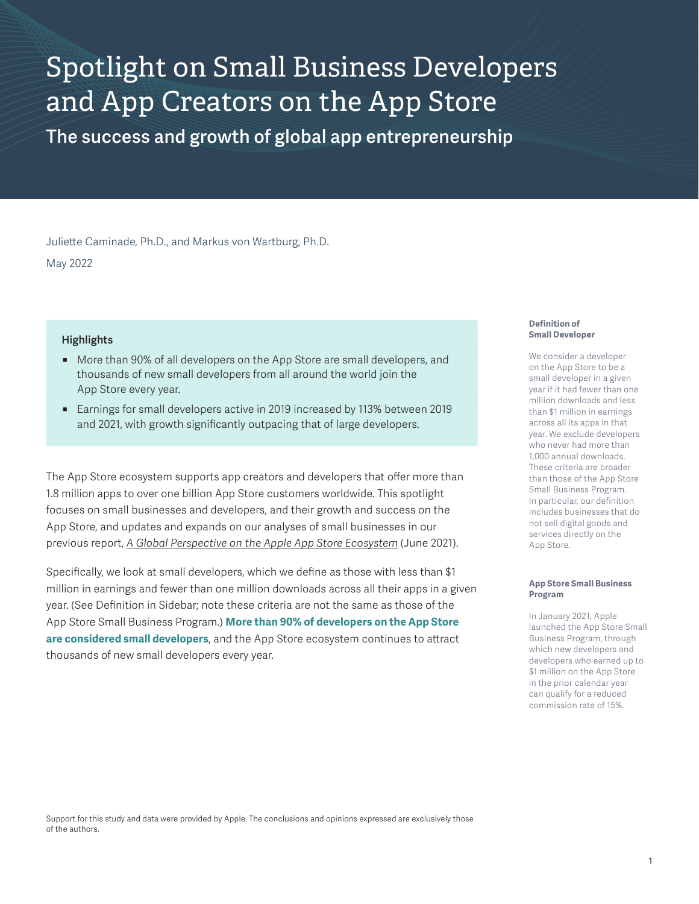# Spotlight on Small Business Developers and App Creators on the App Store

**The success and growth of global app entrepreneurship**

Juliette Caminade, Ph.D., and Markus von Wartburg, Ph.D. May 2022

### **Highlights**

- More than 90% of all developers on the App Store are small developers, and thousands of new small developers from all around the world join the App Store every year.
- Earnings for small developers active in 2019 increased by 113% between 2019 and 2021, with growth significantly outpacing that of large developers.

The App Store ecosystem supports app creators and developers that offer more than 1.8 million apps to over one billion App Store customers worldwide. This spotlight focuses on small businesses and developers, and their growth and success on the App Store, and updates and expands on our analyses of small businesses in our previous report, *[A Global Perspective on the Apple App Store Ecosystem](https://www.apple.com/newsroom/pdfs/apple-app-store-study-2020.pdf)* (June 2021).

Specifically, we look at small developers, which we define as those with less than \$1 million in earnings and fewer than one million downloads across all their apps in a given year. (See Definition in Sidebar; note these criteria are not the same as those of the App Store Small Business Program.) **More than 90% of developers on the App Store are considered small developers**, and the App Store ecosystem continues to attract thousands of new small developers every year.

#### **Definition of Small Developer**

We consider a developer on the App Store to be a small developer in a given year if it had fewer than one million downloads and less than \$1 million in earnings across all its apps in that year. We exclude developers who never had more than 1,000 annual downloads. These criteria are broader than those of the App Store Small Business Program. In particular, our definition includes businesses that do not sell digital goods and services directly on the App Store.

#### **App Store Small Business Program**

In January 2021, Apple launched the App Store Small Business Program, through which new developers and developers who earned up to \$1 million on the App Store in the prior calendar year can qualify for a reduced commission rate of 15%.

Support for this study and data were provided by Apple. The conclusions and opinions expressed are exclusively those of the authors.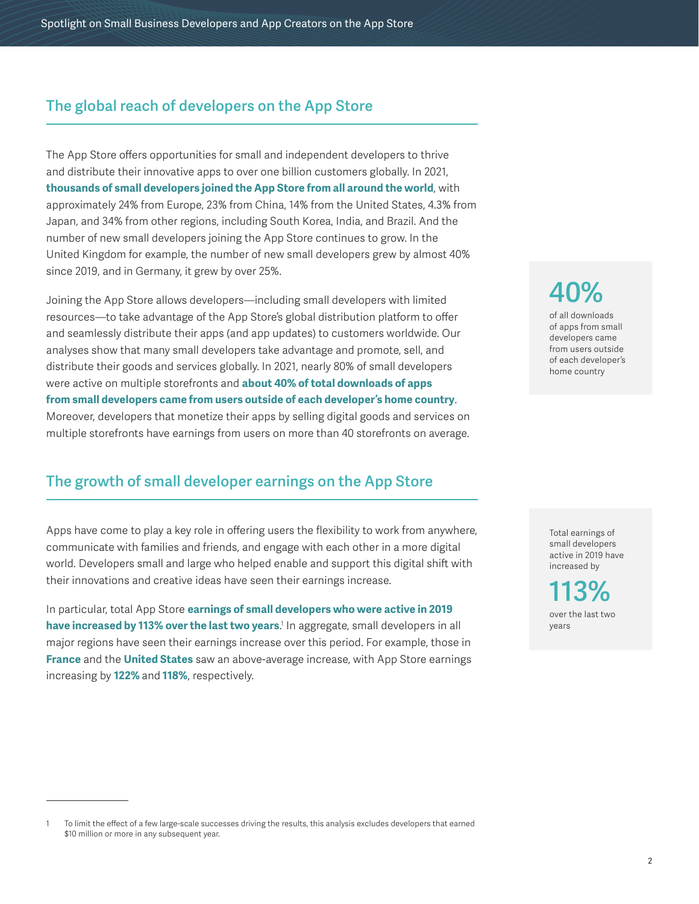# **The global reach of developers on the App Store**

The App Store offers opportunities for small and independent developers to thrive and distribute their innovative apps to over one billion customers globally. In 2021, **thousands of small developers joined the App Store from all around the world**, with approximately 24% from Europe, 23% from China, 14% from the United States, 4.3% from Japan, and 34% from other regions, including South Korea, India, and Brazil. And the number of new small developers joining the App Store continues to grow. In the United Kingdom for example, the number of new small developers grew by almost 40% since 2019, and in Germany, it grew by over 25%.

Joining the App Store allows developers—including small developers with limited resources—to take advantage of the App Store's global distribution platform to offer and seamlessly distribute their apps (and app updates) to customers worldwide. Our analyses show that many small developers take advantage and promote, sell, and distribute their goods and services globally. In 2021, nearly 80% of small developers were active on multiple storefronts and **about 40% of total downloads of apps from small developers came from users outside of each developer's home country**. Moreover, developers that monetize their apps by selling digital goods and services on multiple storefronts have earnings from users on more than 40 storefronts on average.

# **The growth of small developer earnings on the App Store**

Apps have come to play a key role in offering users the flexibility to work from anywhere, communicate with families and friends, and engage with each other in a more digital world. Developers small and large who helped enable and support this digital shift with their innovations and creative ideas have seen their earnings increase.

In particular, total App Store **earnings of small developers who were active in 2019 have increased by 113% over the last two years**.' In aggregate, small developers in all major regions have seen their earnings increase over this period. For example, those in **France** and the **United States** saw an above-average increase, with App Store earnings increasing by **122%** and **118%**, respectively.

**40%** 

of all downloads of apps from small developers came from users outside of each developer's home country

Total earnings of small developers active in 2019 have increased by

**113%** over the last two years

<sup>1</sup> To limit the effect of a few large-scale successes driving the results, this analysis excludes developers that earned \$10 million or more in any subsequent year.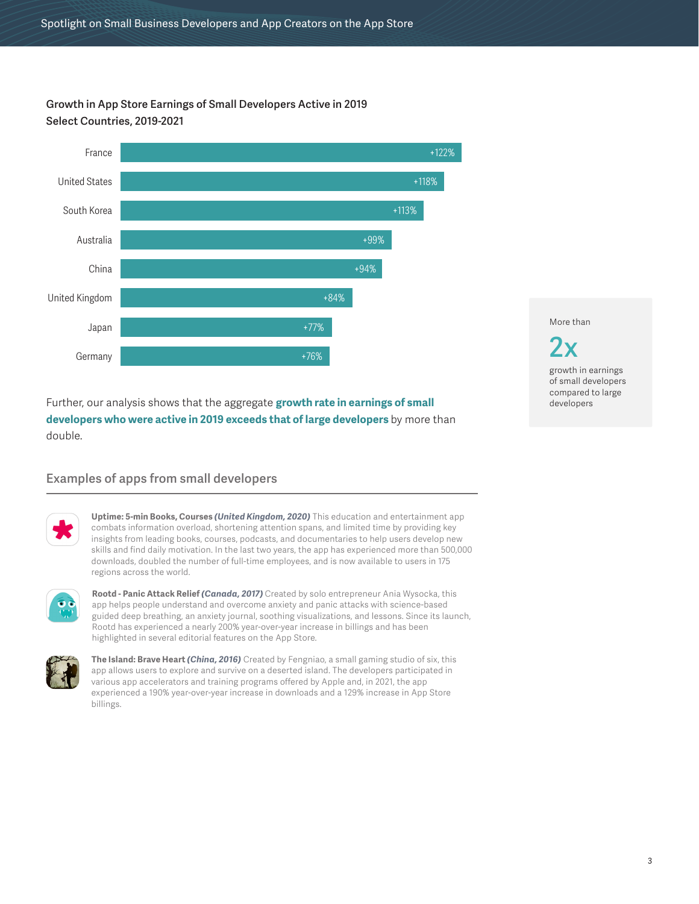**Growth in App Store Earnings of Small Developers Active in 2019 Select Countries, 2019-2021**



Further, our analysis shows that the aggregate **growth rate in earnings of small developers who were active in 2019 exceeds that of large developers** by more than double.

## **Examples of apps from small developers**



**Uptime: 5-min Books, Courses** *(United Kingdom, 2020)* This education and entertainment app combats information overload, shortening attention spans, and limited time by providing key insights from leading books, courses, podcasts, and documentaries to help users develop new skills and find daily motivation. In the last two years, the app has experienced more than 500,000 downloads, doubled the number of full-time employees, and is now available to users in 175 regions across the world.



**Rootd - Panic Attack Relief** *(Canada, 2017)* Created by solo entrepreneur Ania Wysocka, this app helps people understand and overcome anxiety and panic attacks with science-based guided deep breathing, an anxiety journal, soothing visualizations, and lessons. Since its launch, Rootd has experienced a nearly 200% year-over-year increase in billings and has been highlighted in several editorial features on the App Store.



**The Island: Brave Heart** *(China, 2016)* Created by Fengniao, a small gaming studio of six, this app allows users to explore and survive on a deserted island. The developers participated in various app accelerators and training programs offered by Apple and, in 2021, the app experienced a 190% year-over-year increase in downloads and a 129% increase in App Store billings.

More than

**2x** growth in earnings of small developers compared to large developers